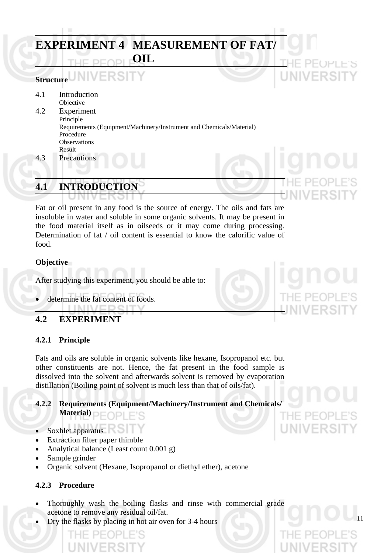# **EXPERIMENT 4 MEASUREMENT OF FAT/ OIL**

# **Structure**

- 4.1 Introduction Objective 4.2 Experiment Principle Requirements (Equipment/Machinery/Instrument and Chemicals/Material) Procedure **Observations** Result
- 4.3 Precautions

# **4.1 INTRODUCTION**

Fat or oil present in any food is the source of energy. The oils and fats are insoluble in water and soluble in some organic solvents. It may be present in the food material itself as in oilseeds or it may come during processing. Determination of fat / oil content is essential to know the calorific value of food.

#### **Objective**

After studying this experiment, you should be able to:

determine the fat content of foods.

**I ININ/EDGITY** 

## **4.2 EXPERIMENT**

### **4.2.1 Principle**

Fats and oils are soluble in organic solvents like hexane, Isopropanol etc. but other constituents are not. Hence, the fat present in the food sample is dissolved into the solvent and afterwards solvent is removed by evaporation distillation (Boiling point of solvent is much less than that of oils/fat).

## **4.2.2 Requirements (Equipment/Machinery/Instrument and Chemicals/ Material)**

- Soxhlet apparatus
- Extraction filter paper thimble
- Analytical balance (Least count 0.001 g)
- Sample grinder
- Organic solvent (Hexane, Isopropanol or diethyl ether), acetone

### **4.2.3 Procedure**

- Thoroughly wash the boiling flasks and rinse with commercial grade acetone to remove any residual oil/fat.
- Dry the flasks by placing in hot air oven for 3-4 hours

**FRSIT** 

11